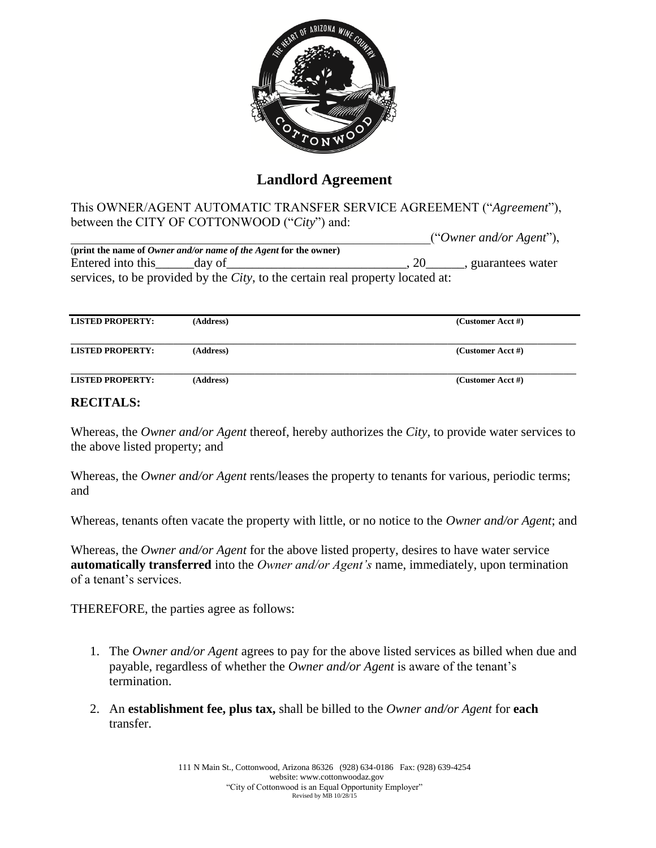

## **Landlord Agreement**

This OWNER/AGENT AUTOMATIC TRANSFER SERVICE AGREEMENT ("*Agreement*"), between the CITY OF COTTONWOOD ("*City*") and:

|                          |                                                                         |                                                                                        | ("Owner and/or Agent"), |
|--------------------------|-------------------------------------------------------------------------|----------------------------------------------------------------------------------------|-------------------------|
|                          | (print the name of <i>Owner and/or name of the Agent</i> for the owner) |                                                                                        |                         |
| Entered into this day of |                                                                         |                                                                                        | , guarantees water      |
|                          |                                                                         | services, to be provided by the <i>City</i> , to the certain real property located at: |                         |

| <b>LISTED PROPERTY:</b> | (Address) | (Customer Acct #) |
|-------------------------|-----------|-------------------|
| <b>LISTED PROPERTY:</b> | (Address) | (Customer Acct #) |
| <b>LISTED PROPERTY:</b> | (Address) | (Customer Acct #) |

## **RECITALS:**

Whereas, the *Owner and/or Agent* thereof, hereby authorizes the *City*, to provide water services to the above listed property; and

Whereas, the *Owner and/or Agent* rents/leases the property to tenants for various, periodic terms; and

Whereas, tenants often vacate the property with little, or no notice to the *Owner and/or Agent*; and

Whereas, the *Owner and/or Agent* for the above listed property, desires to have water service **automatically transferred** into the *Owner and/or Agent's* name, immediately, upon termination of a tenant's services.

THEREFORE, the parties agree as follows:

- 1. The *Owner and/or Agent* agrees to pay for the above listed services as billed when due and payable, regardless of whether the *Owner and/or Agent* is aware of the tenant's termination.
- 2. An **establishment fee, plus tax,** shall be billed to the *Owner and/or Agent* for **each**  transfer.